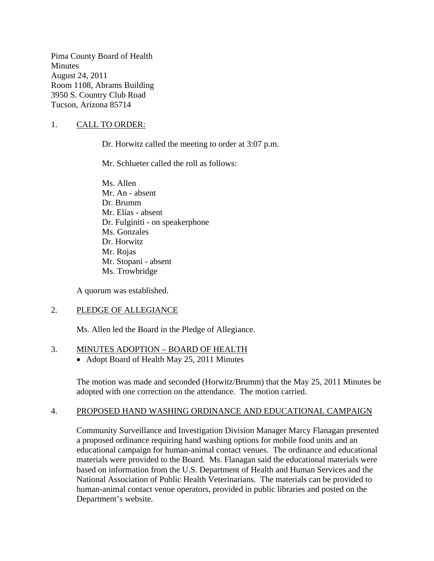Pima County Board of Health **Minutes** August 24, 2011 Room 1108, Abrams Building 3950 S. Country Club Road Tucson, Arizona 85714

## 1. CALL TO ORDER:

Dr. Horwitz called the meeting to order at 3:07 p.m.

Mr. Schlueter called the roll as follows:

Ms. Allen Mr. An - absent Dr. Brumm Mr. Elías - absent Dr. Fulginiti - on speakerphone Ms. Gonzales Dr. Horwitz Mr. Rojas Mr. Stopani - absent Ms. Trowbridge

A quorum was established.

### 2. PLEDGE OF ALLEGIANCE

Ms. Allen led the Board in the Pledge of Allegiance.

### 3. MINUTES ADOPTION – BOARD OF HEALTH

• Adopt Board of Health May 25, 2011 Minutes

The motion was made and seconded (Horwitz/Brumm) that the May 25, 2011 Minutes be adopted with one correction on the attendance. The motion carried.

### 4. PROPOSED HAND WASHING ORDINANCE AND EDUCATIONAL CAMPAIGN

Community Surveillance and Investigation Division Manager Marcy Flanagan presented a proposed ordinance requiring hand washing options for mobile food units and an educational campaign for human-animal contact venues. The ordinance and educational materials were provided to the Board. Ms. Flanagan said the educational materials were based on information from the U.S. Department of Health and Human Services and the National Association of Public Health Veterinarians. The materials can be provided to human-animal contact venue operators, provided in public libraries and posted on the Department's website.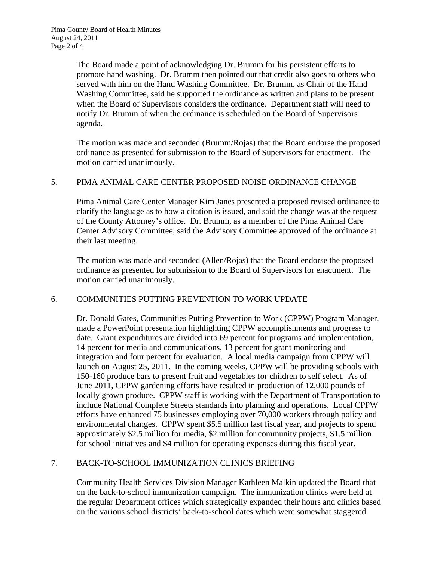The Board made a point of acknowledging Dr. Brumm for his persistent efforts to promote hand washing. Dr. Brumm then pointed out that credit also goes to others who served with him on the Hand Washing Committee. Dr. Brumm, as Chair of the Hand Washing Committee, said he supported the ordinance as written and plans to be present when the Board of Supervisors considers the ordinance. Department staff will need to notify Dr. Brumm of when the ordinance is scheduled on the Board of Supervisors agenda.

The motion was made and seconded (Brumm/Rojas) that the Board endorse the proposed ordinance as presented for submission to the Board of Supervisors for enactment. The motion carried unanimously.

## 5. PIMA ANIMAL CARE CENTER PROPOSED NOISE ORDINANCE CHANGE

Pima Animal Care Center Manager Kim Janes presented a proposed revised ordinance to clarify the language as to how a citation is issued, and said the change was at the request of the County Attorney's office. Dr. Brumm, as a member of the Pima Animal Care Center Advisory Committee, said the Advisory Committee approved of the ordinance at their last meeting.

The motion was made and seconded (Allen/Rojas) that the Board endorse the proposed ordinance as presented for submission to the Board of Supervisors for enactment. The motion carried unanimously.

# 6. COMMUNITIES PUTTING PREVENTION TO WORK UPDATE

Dr. Donald Gates, Communities Putting Prevention to Work (CPPW) Program Manager, made a PowerPoint presentation highlighting CPPW accomplishments and progress to date. Grant expenditures are divided into 69 percent for programs and implementation, 14 percent for media and communications, 13 percent for grant monitoring and integration and four percent for evaluation. A local media campaign from CPPW will launch on August 25, 2011. In the coming weeks, CPPW will be providing schools with 150-160 produce bars to present fruit and vegetables for children to self select. As of June 2011, CPPW gardening efforts have resulted in production of 12,000 pounds of locally grown produce. CPPW staff is working with the Department of Transportation to include National Complete Streets standards into planning and operations. Local CPPW efforts have enhanced 75 businesses employing over 70,000 workers through policy and environmental changes. CPPW spent \$5.5 million last fiscal year, and projects to spend approximately \$2.5 million for media, \$2 million for community projects, \$1.5 million for school initiatives and \$4 million for operating expenses during this fiscal year.

# 7. BACK-TO-SCHOOL IMMUNIZATION CLINICS BRIEFING

Community Health Services Division Manager Kathleen Malkin updated the Board that on the back-to-school immunization campaign. The immunization clinics were held at the regular Department offices which strategically expanded their hours and clinics based on the various school districts' back-to-school dates which were somewhat staggered.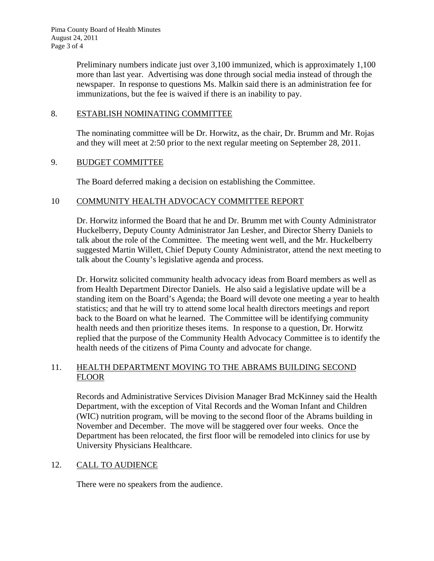Preliminary numbers indicate just over 3,100 immunized, which is approximately 1,100 more than last year. Advertising was done through social media instead of through the newspaper. In response to questions Ms. Malkin said there is an administration fee for immunizations, but the fee is waived if there is an inability to pay.

### 8. ESTABLISH NOMINATING COMMITTEE

The nominating committee will be Dr. Horwitz, as the chair, Dr. Brumm and Mr. Rojas and they will meet at 2:50 prior to the next regular meeting on September 28, 2011.

### 9. BUDGET COMMITTEE

The Board deferred making a decision on establishing the Committee.

## 10 COMMUNITY HEALTH ADVOCACY COMMITTEE REPORT

Dr. Horwitz informed the Board that he and Dr. Brumm met with County Administrator Huckelberry, Deputy County Administrator Jan Lesher, and Director Sherry Daniels to talk about the role of the Committee. The meeting went well, and the Mr. Huckelberry suggested Martin Willett, Chief Deputy County Administrator, attend the next meeting to talk about the County's legislative agenda and process.

Dr. Horwitz solicited community health advocacy ideas from Board members as well as from Health Department Director Daniels. He also said a legislative update will be a standing item on the Board's Agenda; the Board will devote one meeting a year to health statistics; and that he will try to attend some local health directors meetings and report back to the Board on what he learned. The Committee will be identifying community health needs and then prioritize theses items. In response to a question, Dr. Horwitz replied that the purpose of the Community Health Advocacy Committee is to identify the health needs of the citizens of Pima County and advocate for change.

## 11. HEALTH DEPARTMENT MOVING TO THE ABRAMS BUILDING SECOND FLOOR

Records and Administrative Services Division Manager Brad McKinney said the Health Department, with the exception of Vital Records and the Woman Infant and Children (WIC) nutrition program, will be moving to the second floor of the Abrams building in November and December. The move will be staggered over four weeks. Once the Department has been relocated, the first floor will be remodeled into clinics for use by University Physicians Healthcare.

# 12. CALL TO AUDIENCE

There were no speakers from the audience.